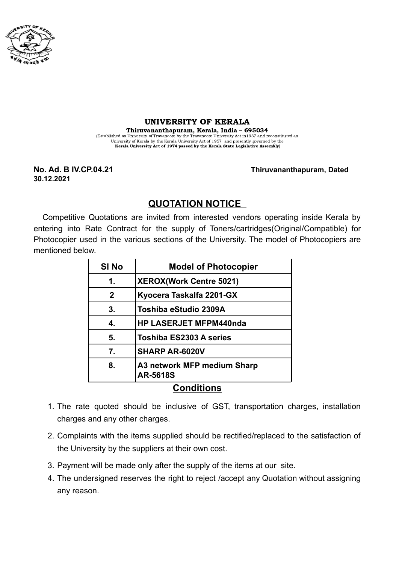

## UNIVERSITY OF KERALA

Thiruvananthapuram, Kerala, India – 695034 (Established as University of Travancore by the Travancore University Act in1937 and reconstituted as University of Kerala by the Kerala University Act of 1957 and presently governed by the Kerala University Act of 1974 passed by the Kerala State Legislative Assembly)

**30.12.2021**

**No. Ad. B IV.CP.04.21 Thiruvananthapuram, Dated**

## **QUOTATION NOTICE**

Competitive Quotations are invited from interested vendors operating inside Kerala by entering into Rate Contract for the supply of Toners/cartridges(Original/Compatible) for Photocopier used in the various sections of the University. The model of Photocopiers are mentioned below.

| <b>SI No</b>      | <b>Model of Photocopier</b>                    |
|-------------------|------------------------------------------------|
| 1.                | <b>XEROX(Work Centre 5021)</b>                 |
| $\mathbf 2$       | Kyocera Taskalfa 2201-GX                       |
| 3.                | Toshiba eStudio 2309A                          |
| 4.                | <b>HP LASERJET MFPM440nda</b>                  |
| 5.                | <b>Toshiba ES2303 A series</b>                 |
| 7.                | <b>SHARP AR-6020V</b>                          |
| 8.                | A3 network MFP medium Sharp<br><b>AR-5618S</b> |
| <b>Conditions</b> |                                                |

## 1. The rate quoted should be inclusive of GST, transportation charges, installation charges and any other charges.

- 2. Complaints with the items supplied should be rectified/replaced to the satisfaction of the University by the suppliers at their own cost.
- 3. Payment will be made only after the supply of the items at our site.
- 4. The undersigned reserves the right to reject /accept any Quotation without assigning any reason.